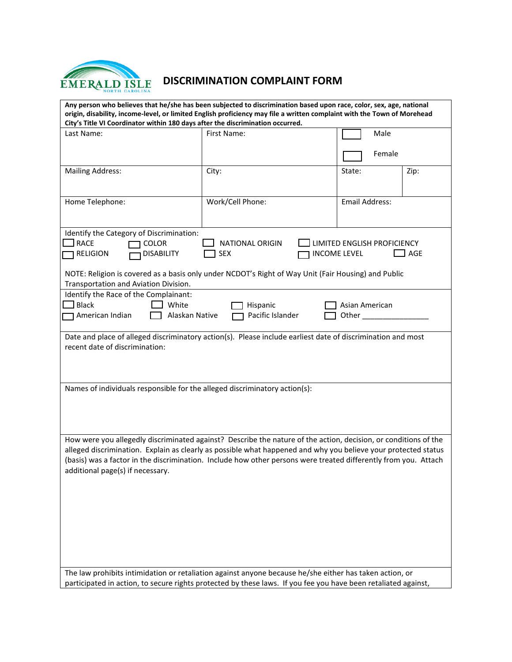

## **DISCRIMINATION COMPLAINT FORM**

| Any person who believes that he/she has been subjected to discrimination based upon race, color, sex, age, national<br>origin, disability, income-level, or limited English proficiency may file a written complaint with the Town of Morehead<br>City's Title VI Coordinator within 180 days after the discrimination occurred.                                                         |                  |                |  |  |
|------------------------------------------------------------------------------------------------------------------------------------------------------------------------------------------------------------------------------------------------------------------------------------------------------------------------------------------------------------------------------------------|------------------|----------------|--|--|
| Last Name:                                                                                                                                                                                                                                                                                                                                                                               | First Name:      | Male           |  |  |
|                                                                                                                                                                                                                                                                                                                                                                                          |                  |                |  |  |
|                                                                                                                                                                                                                                                                                                                                                                                          |                  | Female         |  |  |
| <b>Mailing Address:</b>                                                                                                                                                                                                                                                                                                                                                                  | City:            | State:<br>Zip: |  |  |
| Home Telephone:                                                                                                                                                                                                                                                                                                                                                                          | Work/Cell Phone: | Email Address: |  |  |
| Identify the Category of Discrimination:<br><b>RACE</b><br><b>COLOR</b><br>NATIONAL ORIGIN<br>LIMITED ENGLISH PROFICIENCY<br><b>DISABILITY</b><br><b>RELIGION</b><br><b>SEX</b><br><b>INCOME LEVEL</b><br>AGE<br>NOTE: Religion is covered as a basis only under NCDOT's Right of Way Unit (Fair Housing) and Public                                                                     |                  |                |  |  |
| Transportation and Aviation Division.                                                                                                                                                                                                                                                                                                                                                    |                  |                |  |  |
| Identify the Race of the Complainant:<br><b>Black</b><br>White<br>Asian American<br>Hispanic<br>Pacific Islander<br>American Indian<br>Alaskan Native                                                                                                                                                                                                                                    |                  |                |  |  |
| Date and place of alleged discriminatory action(s). Please include earliest date of discrimination and most<br>recent date of discrimination:                                                                                                                                                                                                                                            |                  |                |  |  |
| Names of individuals responsible for the alleged discriminatory action(s):                                                                                                                                                                                                                                                                                                               |                  |                |  |  |
| How were you allegedly discriminated against? Describe the nature of the action, decision, or conditions of the<br>alleged discrimination. Explain as clearly as possible what happened and why you believe your protected status<br>(basis) was a factor in the discrimination. Include how other persons were treated differently from you. Attach<br>additional page(s) if necessary. |                  |                |  |  |
| The law prohibits intimidation or retaliation against anyone because he/she either has taken action, or<br>participated in action, to secure rights protected by these laws. If you fee you have been retaliated against,                                                                                                                                                                |                  |                |  |  |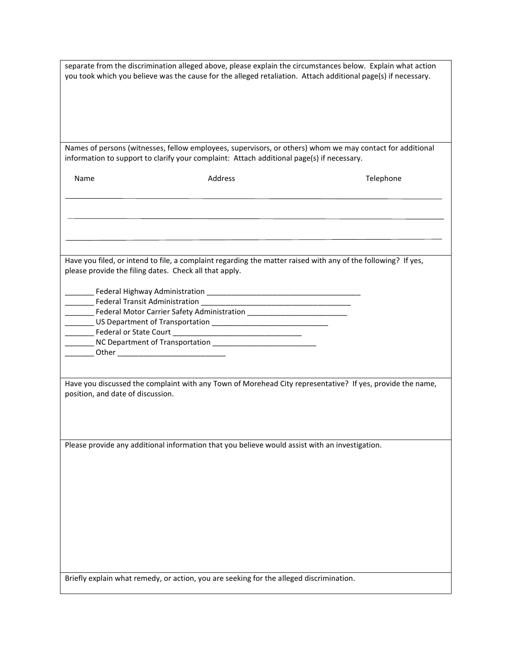| separate from the discrimination alleged above, please explain the circumstances below. Explain what action<br>you took which you believe was the cause for the alleged retaliation. Attach additional page(s) if necessary. |                                                                                                                                                                                                        |                                                                                                           |
|------------------------------------------------------------------------------------------------------------------------------------------------------------------------------------------------------------------------------|--------------------------------------------------------------------------------------------------------------------------------------------------------------------------------------------------------|-----------------------------------------------------------------------------------------------------------|
|                                                                                                                                                                                                                              |                                                                                                                                                                                                        |                                                                                                           |
|                                                                                                                                                                                                                              | Names of persons (witnesses, fellow employees, supervisors, or others) whom we may contact for additional<br>information to support to clarify your complaint: Attach additional page(s) if necessary. |                                                                                                           |
| Name                                                                                                                                                                                                                         | Address                                                                                                                                                                                                | Telephone                                                                                                 |
|                                                                                                                                                                                                                              |                                                                                                                                                                                                        |                                                                                                           |
|                                                                                                                                                                                                                              |                                                                                                                                                                                                        |                                                                                                           |
| please provide the filing dates. Check all that apply.                                                                                                                                                                       | Have you filed, or intend to file, a complaint regarding the matter raised with any of the following? If yes,                                                                                          |                                                                                                           |
|                                                                                                                                                                                                                              |                                                                                                                                                                                                        |                                                                                                           |
|                                                                                                                                                                                                                              |                                                                                                                                                                                                        |                                                                                                           |
| _______ Other _________________________________                                                                                                                                                                              |                                                                                                                                                                                                        |                                                                                                           |
| position, and date of discussion.                                                                                                                                                                                            |                                                                                                                                                                                                        | Have you discussed the complaint with any Town of Morehead City representative? If yes, provide the name, |
|                                                                                                                                                                                                                              |                                                                                                                                                                                                        |                                                                                                           |
|                                                                                                                                                                                                                              | Please provide any additional information that you believe would assist with an investigation.                                                                                                         |                                                                                                           |
|                                                                                                                                                                                                                              |                                                                                                                                                                                                        |                                                                                                           |
|                                                                                                                                                                                                                              |                                                                                                                                                                                                        |                                                                                                           |
|                                                                                                                                                                                                                              | Briefly explain what remedy, or action, you are seeking for the alleged discrimination.                                                                                                                |                                                                                                           |